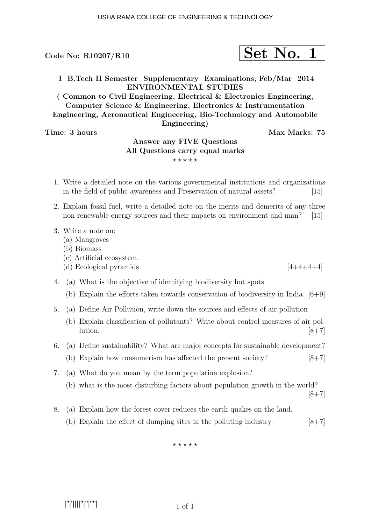$$
\fbox{Set No. 1}
$$

I B.Tech II Semester Supplementary Examinations, Feb/Mar 2014 ENVIRONMENTAL STUDIES

( Common to Civil Engineering, Electrical & Electronics Engineering, Computer Science & Engineering, Electronics & Instrumentation Engineering, Aeronautical Engineering, Bio-Technology and Automobile Engineering)

Time: 3 hours Max Marks: 75

## Answer any FIVE Questions All Questions carry equal marks  $***$ \*\*

- 1. Write a detailed note on the various governmental institutions and organizations in the field of public awareness and Preservation of natural assets? [15]
- 2. Explain fossil fuel, write a detailed note on the merits and demerits of any three non-renewable energy sources and their impacts on environment and man? [15]
- 3. Write a note on:
	- (a) Mangroves
	- (b) Biomass
	- (c) Artificial ecosystem.
	- (d) Ecological pyramids  $[4+4+4+4]$
- 4. (a) What is the objective of identifying biodiversity hot spots
	- (b) Explain the efforts taken towards conservation of biodiversity in India.  $[6+9]$
- 5. (a) Define Air Pollution, write down the sources and effects of air pollution
	- (b) Explain classification of pollutants? Write about control measures of air pol- $\lbrack 8+7 \rbrack$
- 6. (a) Define sustainability? What are major concepts for sustainable development?
	- (b) Explain how consumerism has affected the present society?  $[8+7]$
- 7. (a) What do you mean by the term population explosion?
	- (b) what is the most disturbing factors about population growth in the world?

 $[8+7]$ 

- 8. (a) Explain how the forest cover reduces the earth quakes on the land.
	- (b) Explain the effect of dumping sites in the polluting industry.  $[8+7]$

 $***$ \*\*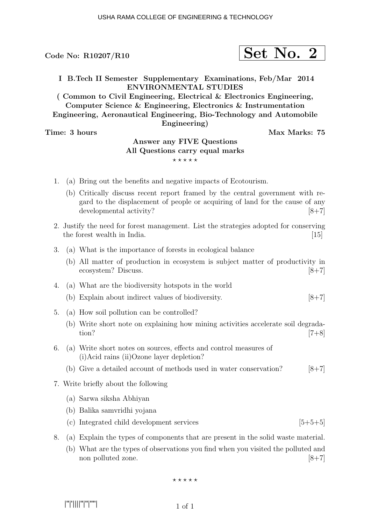$$
\fbox{Set No. 2}
$$

I B.Tech II Semester Supplementary Examinations, Feb/Mar 2014 ENVIRONMENTAL STUDIES

( Common to Civil Engineering, Electrical & Electronics Engineering, Computer Science & Engineering, Electronics & Instrumentation Engineering, Aeronautical Engineering, Bio-Technology and Automobile Engineering)

Time: 3 hours Max Marks: 75

## Answer any FIVE Questions All Questions carry equal marks  $***$ \*\*

- 1. (a) Bring out the benefits and negative impacts of Ecotourism.
	- (b) Critically discuss recent report framed by the central government with regard to the displacement of people or acquiring of land for the cause of any developmental activity?  $[8+7]$
- 2. Justify the need for forest management. List the strategies adopted for conserving the forest wealth in India.  $[15]$
- 3. (a) What is the importance of forests in ecological balance
	- (b) All matter of production in ecosystem is subject matter of productivity in ecosystem? Discuss. [8+7]
- 4. (a) What are the biodiversity hotspots in the world
	- (b) Explain about indirect values of biodiversity.  $[8+7]$
- 5. (a) How soil pollution can be controlled?
	- (b) Write short note on explaining how mining activities accelerate soil degrada- $\frac{1}{7+8}$
- 6. (a) Write short notes on sources, effects and control measures of (i)Acid rains (ii)Ozone layer depletion?
	- (b) Give a detailed account of methods used in water conservation?  $[8+7]$
- 7. Write briefly about the following
	- (a) Sarwa siksha Abhiyan
	- (b) Balika samvridhi yojana
	- (c) Integrated child development services  $[5+5+5]$
- 8. (a) Explain the types of components that are present in the solid waste material.
	- (b) What are the types of observations you find when you visited the polluted and non polluted zone. [8+7]

 $***$ \*\*

|''|'||||''|''|''''|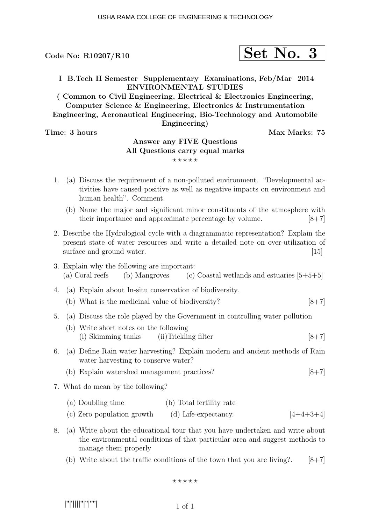$$
\fbox{Set No. 3}
$$

I B.Tech II Semester Supplementary Examinations, Feb/Mar 2014 ENVIRONMENTAL STUDIES

( Common to Civil Engineering, Electrical & Electronics Engineering, Computer Science & Engineering, Electronics & Instrumentation Engineering, Aeronautical Engineering, Bio-Technology and Automobile Engineering)

Time: 3 hours Max Marks: 75

## Answer any FIVE Questions All Questions carry equal marks  $***$ \*\*

- 1. (a) Discuss the requirement of a non-polluted environment. "Developmental activities have caused positive as well as negative impacts on environment and human health". Comment.
	- (b) Name the major and significant minor constituents of the atmosphere with their importance and approximate percentage by volume.  $[8+7]$
- 2. Describe the Hydrological cycle with a diagrammatic representation? Explain the present state of water resources and write a detailed note on over-utilization of surface and ground water. [15]
- 3. Explain why the following are important: (a) Coral reefs (b) Mangroves (c) Coastal wetlands and estuaries  $[5+5+5]$
- 4. (a) Explain about In-situ conservation of biodiversity.
	- (b) What is the medicinal value of biodiversity?  $[8+7]$
- 5. (a) Discuss the role played by the Government in controlling water pollution
	- (b) Write short notes on the following (i) Skimming tanks (ii)Trickling filter  $[8+7]$
- 6. (a) Define Rain water harvesting? Explain modern and ancient methods of Rain water harvesting to conserve water?
	- (b) Explain watershed management practices? [8+7]
- 7. What do mean by the following?

| (a) Doubling time          | (b) Total fertility rate |             |
|----------------------------|--------------------------|-------------|
| (c) Zero population growth | (d) Life-expectancy.     | $[4+4+3+4]$ |

- 8. (a) Write about the educational tour that you have undertaken and write about the environmental conditions of that particular area and suggest methods to manage them properly
	- (b) Write about the traffic conditions of the town that you are living?.  $[8+7]$

$$
\star\!\star\!\star\!\star\!\star
$$

|''|'||||''|''|''''|